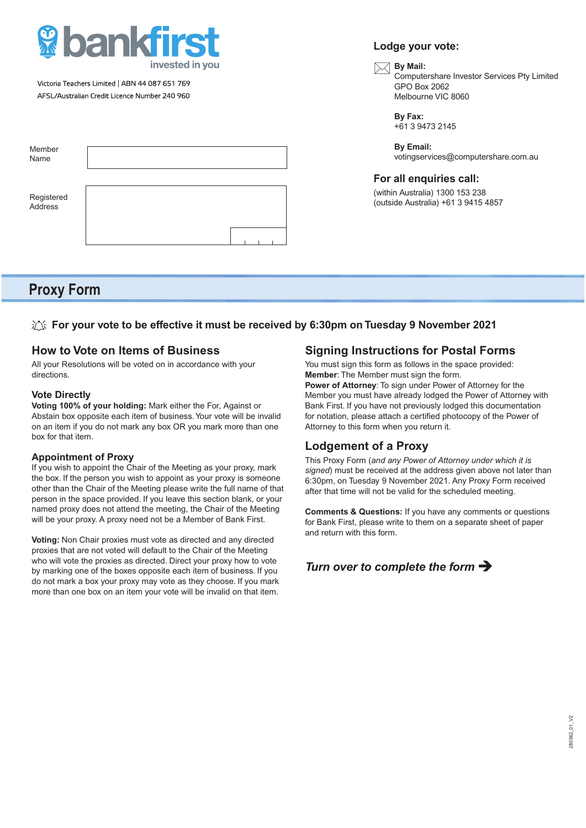

Victoria Teachers Limited | ABN 44 087 651 769 AFSL/Australian Credit Licence Number 240 960

| Member<br>Name        |  |  |  |  |
|-----------------------|--|--|--|--|
| Registered<br>Address |  |  |  |  |

# **Proxy Form**

### **For your vote to be effective it must be received by 6:30pm on Tuesday 9 November 2021**

### **How to Vote on Items of Business**

All your Resolutions will be voted on in accordance with your directions.

#### **Vote Directly**

**Voting 100% of your holding:** Mark either the For, Against or Abstain box opposite each item of business. Your vote will be invalid on an item if you do not mark any box OR you mark more than one box for that item.

#### **Appointment of Proxy**

If you wish to appoint the Chair of the Meeting as your proxy, mark the box. If the person you wish to appoint as your proxy is someone other than the Chair of the Meeting please write the full name of that person in the space provided. If you leave this section blank, or your named proxy does not attend the meeting, the Chair of the Meeting will be your proxy. A proxy need not be a Member of Bank First.

**Voting:** Non Chair proxies must vote as directed and any directed proxies that are not voted will default to the Chair of the Meeting who will vote the proxies as directed. Direct your proxy how to vote by marking one of the boxes opposite each item of business. If you do not mark a box your proxy may vote as they choose. If you mark more than one box on an item your vote will be invalid on that item.

## **Signing Instructions for Postal Forms**

You must sign this form as follows in the space provided: **Member**: The Member must sign the form.

**Power of Attorney**: To sign under Power of Attorney for the Member you must have already lodged the Power of Attorney with Bank First. If you have not previously lodged this documentation for notation, please attach a certified photocopy of the Power of Attorney to this form when you return it.

## **Lodgement of a Proxy**

This Proxy Form (*and any Power of Attorney under which it is signed*) must be received at the address given above not later than 6:30pm, on Tuesday 9 November 2021. Any Proxy Form received after that time will not be valid for the scheduled meeting.

**Comments & Questions:** If you have any comments or questions for Bank First, please write to them on a separate sheet of paper and return with this form.

## *Turn over to complete the form*

## **Lodge your vote:**

# **By Mail:**<br>Compute

 Computershare Investor Services Pty Limited GPO Box 2062 Melbourne VIC 8060

 **By Fax:** +61 3 9473 2145

 **By Email:** votingservices@computershare.com.au

#### **For all enquiries call:**

(within Australia) 1300 153 238 (outside Australia) +61 3 9415 4857